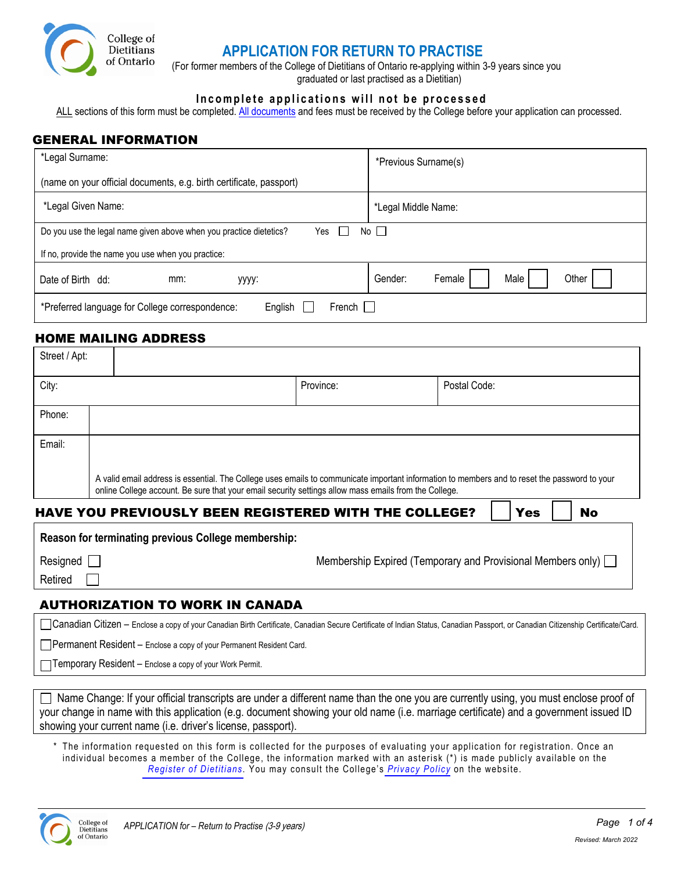

# **APPLICATION FOR RETURN TO PRACTISE**

(For former members of the College of Dietitians of Ontario re-applying within 3-9 years since you graduated or last practised as a Dietitian)

### **Incomplete applications will not be processed**

ALL sections of this form must be completed. [All documents](#page-1-0) and fees must be received by the College before your application can processed.

### GENERAL INFORMATION

| *Legal Surname:                                                           | *Previous Surname(s)               |  |  |  |
|---------------------------------------------------------------------------|------------------------------------|--|--|--|
| (name on your official documents, e.g. birth certificate, passport)       |                                    |  |  |  |
| *Legal Given Name:                                                        | *Legal Middle Name:                |  |  |  |
| Do you use the legal name given above when you practice dietetics?<br>Yes | No $\square$                       |  |  |  |
| If no, provide the name you use when you practice:                        |                                    |  |  |  |
| Date of Birth dd:<br>mm:<br>уууу:                                         | Male<br>Other<br>Gender:<br>Female |  |  |  |
| English<br>*Preferred language for College correspondence:<br>French I    |                                    |  |  |  |

### HOME MAILING ADDRESS

| Street / Apt: |                                                                                                                                                                                                                                                        |           |              |  |  |
|---------------|--------------------------------------------------------------------------------------------------------------------------------------------------------------------------------------------------------------------------------------------------------|-----------|--------------|--|--|
| City:         |                                                                                                                                                                                                                                                        | Province: | Postal Code: |  |  |
| Phone:        |                                                                                                                                                                                                                                                        |           |              |  |  |
| Email:        |                                                                                                                                                                                                                                                        |           |              |  |  |
|               | A valid email address is essential. The College uses emails to communicate important information to members and to reset the password to your<br>online College account. Be sure that your email security settings allow mass emails from the College. |           |              |  |  |
|               |                                                                                                                                                                                                                                                        |           |              |  |  |

### HAVE YOU PREVIOUSLY BEEN REGISTERED WITH THE COLLEGE?  $\parallel$  Yes  $\parallel$  No

| Resigned [ |   |
|------------|---|
| Retired    | Г |

Membership Expired (Temporary and Provisional Members only)  $\Box$ 

### AUTHORIZATION TO WORK IN CANADA

Canadian Citizen – Enclose a copy of your Canadian Birth Certificate, Canadian Secure Certificate of Indian Status, Canadian Passport, or Canadian Citizenship Certificate/Card.

 $\Box$  Permanent Resident – Enclose a copy of your Permanent Resident Card.

Temporary Resident – Enclose a copy of your Work Permit.

 $\Box$  Name Change: If your official transcripts are under a different name than the one you are currently using, you must enclose proof of your change in name with this application (e.g. document showing your old name (i.e. marriage certificate) and a government issued ID showing your current name (i.e. driver's license, passport).

\* The information requested on this form is collected for the purposes of evaluating your application for registration. Once an individual becomes a member of the College, the information marked with an asterisk (\*) is made publicly available on the *Register [of Dietitians](https://www.collegeofdietitians.org/resources/maintaining-your-rd-certification/information-appearing-on-the-register-of-dietitian.aspx)*. You may consult the College's *[Privacy](https://www.collegeofdietitians.org/privacy-policy.aspx) Policy* on the website.

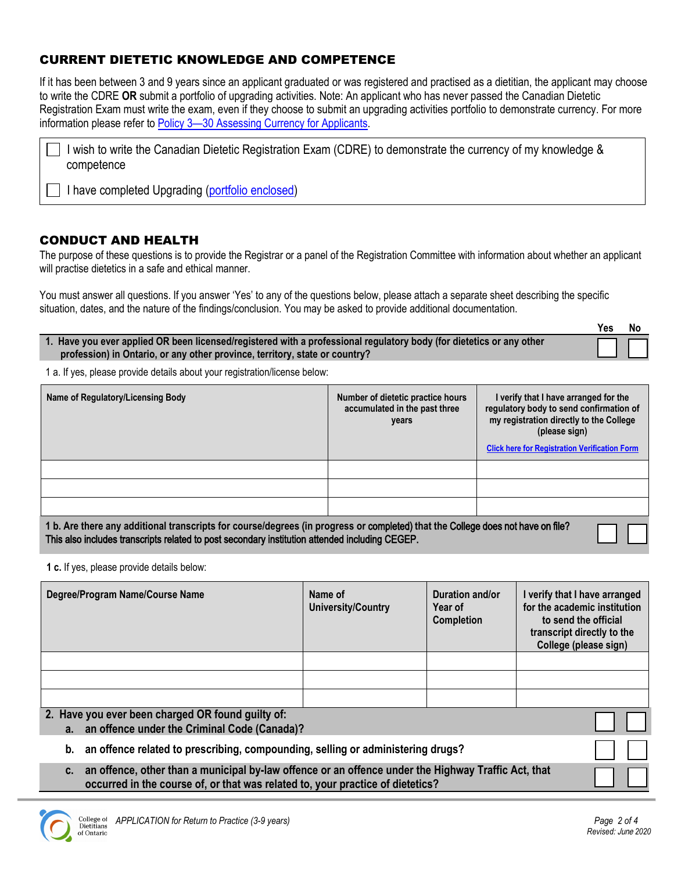## <span id="page-1-0"></span>CURRENT DIETETIC KNOWLEDGE AND COMPETENCE

If it has been between 3 and 9 years since an applicant graduated or was registered and practised as a dietitian, the applicant may choose to write the CDRE **OR** submit a portfolio of upgrading activities. Note: An applicant who has never passed the Canadian Dietetic Registration Exam must write the exam, even if they choose to submit an upgrading activities portfolio to demonstrate currency. For more information please refer to [Policy 3—30 Assessing Currency for Applicants.](https://www.collegeofdietitians.org/programs/registration/registration-policies.aspx)

| □ I wish to write the Canadian Dietetic Registration Exam (CDRE) to demonstrate the currency of my knowledge & |  |  |  |  |
|----------------------------------------------------------------------------------------------------------------|--|--|--|--|
| competence                                                                                                     |  |  |  |  |

I have completed Upgrading [\(portfolio enclosed\)](http://www.collegeofdietitians.org/Resources/Registration/Upgrading-Practicum/Upgrading-Activities-Form-2014.aspx)

### CONDUCT AND HEALTH

The purpose of these questions is to provide the Registrar or a panel of the Registration Committee with information about whether an applicant will practise dietetics in a safe and ethical manner.

You must answer all questions. If you answer 'Yes' to any of the questions below, please attach a separate sheet describing the specific situation, dates, and the nature of the findings/conclusion. You may be asked to provide additional documentation.

|                                                                                                                                                                                                     | Yes | N٥ |
|-----------------------------------------------------------------------------------------------------------------------------------------------------------------------------------------------------|-----|----|
| 1. Have you ever applied OR been licensed/registered with a professional regulatory body (for dietetics or any other<br>profession) in Ontario, or any other province, territory, state or country? |     |    |

1 a. If yes, please provide details about your registration/license below:

| Name of Regulatory/Licensing Body | Number of dietetic practice hours<br>accumulated in the past three<br>years | I verify that I have arranged for the<br>regulatory body to send confirmation of<br>my registration directly to the College<br>(please sign)<br><b>Click here for Registration Verification Form</b> |
|-----------------------------------|-----------------------------------------------------------------------------|------------------------------------------------------------------------------------------------------------------------------------------------------------------------------------------------------|
|                                   |                                                                             |                                                                                                                                                                                                      |
|                                   |                                                                             |                                                                                                                                                                                                      |
|                                   |                                                                             |                                                                                                                                                                                                      |

**1 b. Are there any additional transcripts for course/degrees** (**in progress or** completed) **that the** College does not have on file? This also includes transcripts related to post secondary institution attended including CEGEP.

**1 c.** If yes, please provide details below:

| Degree/Program Name/Course Name                                                                                                                                                             | Name of<br><b>University/Country</b> | Duration and/or<br>Year of<br><b>Completion</b> | I verify that I have arranged<br>for the academic institution<br>to send the official<br>transcript directly to the<br>College (please sign) |
|---------------------------------------------------------------------------------------------------------------------------------------------------------------------------------------------|--------------------------------------|-------------------------------------------------|----------------------------------------------------------------------------------------------------------------------------------------------|
|                                                                                                                                                                                             |                                      |                                                 |                                                                                                                                              |
|                                                                                                                                                                                             |                                      |                                                 |                                                                                                                                              |
|                                                                                                                                                                                             |                                      |                                                 |                                                                                                                                              |
| 2. Have you ever been charged OR found guilty of:<br>a. an offence under the Criminal Code (Canada)?                                                                                        |                                      |                                                 |                                                                                                                                              |
| an offence related to prescribing, compounding, selling or administering drugs?<br>b.                                                                                                       |                                      |                                                 |                                                                                                                                              |
| an offence, other than a municipal by-law offence or an offence under the Highway Traffic Act, that<br>C.<br>occurred in the course of, or that was related to, your practice of dietetics? |                                      |                                                 |                                                                                                                                              |

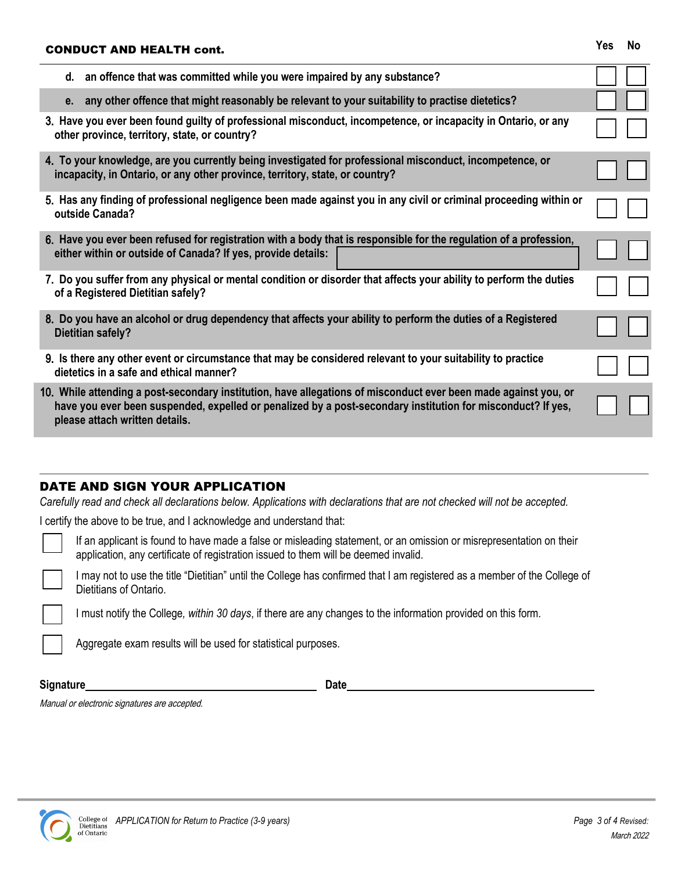| <b>CONDUCT AND HEALTH cont.</b>                                                                                                                                                                                                                                  |  |  |  |  |
|------------------------------------------------------------------------------------------------------------------------------------------------------------------------------------------------------------------------------------------------------------------|--|--|--|--|
| d. an offence that was committed while you were impaired by any substance?                                                                                                                                                                                       |  |  |  |  |
| any other offence that might reasonably be relevant to your suitability to practise dietetics?<br>e.                                                                                                                                                             |  |  |  |  |
| 3. Have you ever been found guilty of professional misconduct, incompetence, or incapacity in Ontario, or any<br>other province, territory, state, or country?                                                                                                   |  |  |  |  |
| 4. To your knowledge, are you currently being investigated for professional misconduct, incompetence, or<br>incapacity, in Ontario, or any other province, territory, state, or country?                                                                         |  |  |  |  |
| 5. Has any finding of professional negligence been made against you in any civil or criminal proceeding within or<br>outside Canada?                                                                                                                             |  |  |  |  |
| 6. Have you ever been refused for registration with a body that is responsible for the regulation of a profession,<br>either within or outside of Canada? If yes, provide details:                                                                               |  |  |  |  |
| 7. Do you suffer from any physical or mental condition or disorder that affects your ability to perform the duties<br>of a Registered Dietitian safely?                                                                                                          |  |  |  |  |
| 8. Do you have an alcohol or drug dependency that affects your ability to perform the duties of a Registered<br><b>Dietitian safely?</b>                                                                                                                         |  |  |  |  |
| 9. Is there any other event or circumstance that may be considered relevant to your suitability to practice<br>dietetics in a safe and ethical manner?                                                                                                           |  |  |  |  |
| 10. While attending a post-secondary institution, have allegations of misconduct ever been made against you, or<br>have you ever been suspended, expelled or penalized by a post-secondary institution for misconduct? If yes,<br>please attach written details. |  |  |  |  |
|                                                                                                                                                                                                                                                                  |  |  |  |  |

# DATE AND SIGN YOUR APPLICATION

*Carefully read and check all declarations below. Applications with declarations that are not checked will not be accepted.*

I certify the above to be true, and I acknowledge and understand that:

If an applicant is found to have made a false or misleading statement, or an omission or misrepresentation on their application, any certificate of registration issued to them will be deemed invalid.

I may not to use the title "Dietitian" until the College has confirmed that I am registered as a member of the College of Dietitians of Ontario.

I must notify the College*, within 30 days*, if there are any changes to the information provided on this form.

Aggregate exam results will be used for statistical purposes.

**Signature Date** 

Manual or electronic signatures are accepted.